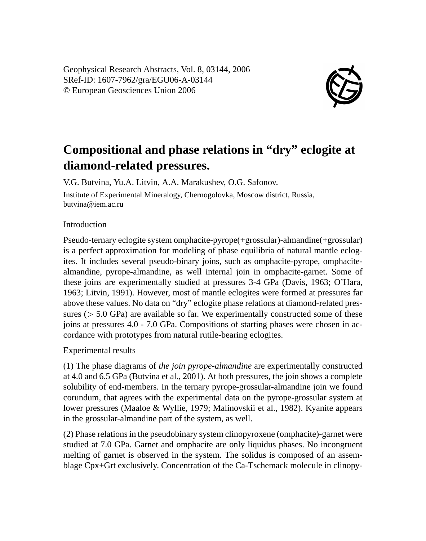Geophysical Research Abstracts, Vol. 8, 03144, 2006 SRef-ID: 1607-7962/gra/EGU06-A-03144 © European Geosciences Union 2006



## **Compositional and phase relations in "dry" eclogite at diamond-related pressures.**

V.G. Butvina, Yu.A. Litvin, A.A. Marakushev, O.G. Safonov. Institute of Experimental Mineralogy, Chernogolovka, Moscow district, Russia, butvina@iem.ac.ru

## Introduction

Pseudo-ternary eclogite system omphacite-pyrope(+grossular)-almandine(+grossular) is a perfect approximation for modeling of phase equilibria of natural mantle eclogites. It includes several pseudo-binary joins, such as omphacite-pyrope, omphacitealmandine, pyrope-almandine, as well internal join in omphacite-garnet. Some of these joins are experimentally studied at pressures 3-4 GPa (Davis, 1963; O'Hara, 1963; Litvin, 1991). However, most of mantle eclogites were formed at pressures far above these values. No data on "dry" eclogite phase relations at diamond-related pressures ( $> 5.0$  GPa) are available so far. We experimentally constructed some of these joins at pressures 4.0 - 7.0 GPa. Compositions of starting phases were chosen in accordance with prototypes from natural rutile-bearing eclogites.

Experimental results

(1) The phase diagrams of *the join pyrope-almandine* are experimentally constructed at 4.0 and 6.5 GPa (Butvina et al., 2001). At both pressures, the join shows a complete solubility of end-members. In the ternary pyrope-grossular-almandine join we found corundum, that agrees with the experimental data on the pyrope-grossular system at lower pressures (Maaloe & Wyllie, 1979; Malinovskii et al., 1982). Kyanite appears in the grossular-almandine part of the system, as well.

(2) Phase relations in the pseudobinary system clinopyroxene (omphacite)-garnet were studied at 7.0 GPa. Garnet and omphacite are only liquidus phases. No incongruent melting of garnet is observed in the system. The solidus is composed of an assemblage Cpx+Grt exclusively. Concentration of the Ca-Tschemack molecule in clinopy